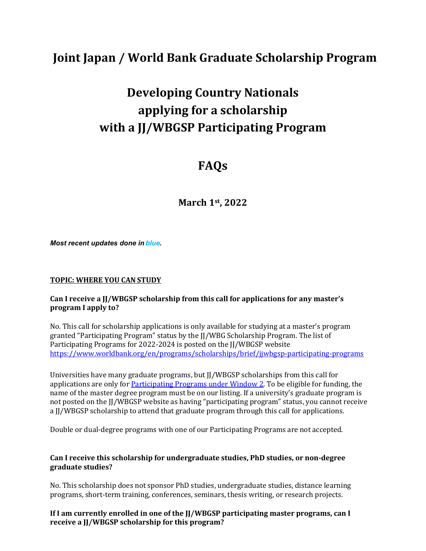# **Joint Japan / World Bank Graduate Scholarship Program**

# **Developing Country Nationals applying for a scholarship with a JJ/WBGSP Participating Program**

# **FAQs**

**March 1st, 2022**

*Most recent updates done in blue.*

#### **TOPIC: WHERE YOU CAN STUDY**

#### **Can I receive a JJ/WBGSP scholarship from this call for applications for any master's program I apply to?**

No. This call for scholarship applications is only available for studying at a master's program granted "Participating Program" status by the JJ/WBG Scholarship Program. The list of Participating Programs for 2022-2024 is posted on the JJ/WBGSP website <https://www.worldbank.org/en/programs/scholarships/brief/jjwbgsp-participating-programs>

Universities have many graduate programs, but JJ/WBGSP scholarships from this call for applications are only fo[r Participating Programs under Window 2.](https://www.worldbank.org/en/programs/scholarships/brief/jjwbgsp-participating-programs-2022-2024-application-window-2) To be eligible for funding, the name of the master degree program must be on our listing. If a university's graduate program is not posted on the JJ/WBGSP website as having "participating program" status, you cannot receive a JJ/WBGSP scholarship to attend that graduate program through this call for applications.

Double or dual-degree programs with one of our Participating Programs are not accepted.

#### **Can I receive this scholarship for undergraduate studies, PhD studies, or non-degree graduate studies?**

No. This scholarship does not sponsor PhD studies, undergraduate studies, distance learning programs, short-term training, conferences, seminars, thesis writing, or research projects.

**If I am currently enrolled in one of the JJ/WBGSP participating master programs, can I receive a JJ/WBGSP scholarship for this program?**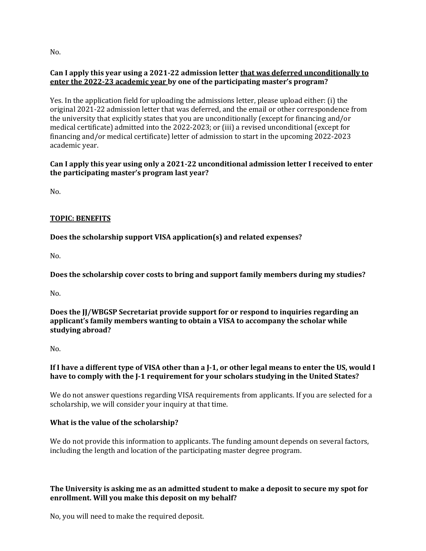No.

# **Can I apply this year using a 2021-22 admission letter that was deferred unconditionally to enter the 2022-23 academic year by one of the participating master's program?**

Yes. In the application field for uploading the admissions letter, please upload either: (i) the original 2021-22 admission letter that was deferred, and the email or other correspondence from the university that explicitly states that you are unconditionally (except for financing and/or medical certificate) admitted into the 2022-2023; or (iii) a revised unconditional (except for financing and/or medical certificate) letter of admission to start in the upcoming 2022-2023 academic year.

# **Can I apply this year using only a 2021-22 unconditional admission letter I received to enter the participating master's program last year?**

 $N<sub>0</sub>$ 

# **TOPIC: BENEFITS**

**Does the scholarship support VISA application(s) and related expenses?**

 $N<sub>0</sub>$ 

**Does the scholarship cover costs to bring and support family members during my studies?**

No.

**Does the JJ/WBGSP Secretariat provide support for or respond to inquiries regarding an applicant's family members wanting to obtain a VISA to accompany the scholar while studying abroad?**

No.

# **If I have a different type of VISA other than a J-1, or other legal means to enter the US, would I have to comply with the J-1 requirement for your scholars studying in the United States?**

We do not answer questions regarding VISA requirements from applicants. If you are selected for a scholarship, we will consider your inquiry at that time.

# **What is the value of the scholarship?**

We do not provide this information to applicants. The funding amount depends on several factors, including the length and location of the participating master degree program.

# **The University is asking me as an admitted student to make a deposit to secure my spot for enrollment. Will you make this deposit on my behalf?**

No, you will need to make the required deposit.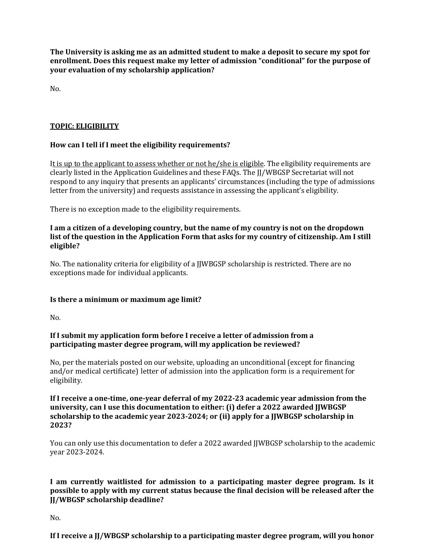**The University is asking me as an admitted student to make a deposit to secure my spot for enrollment. Does this request make my letter of admission "conditional" for the purpose of your evaluation of my scholarship application?**

No.

#### **TOPIC: ELIGIBILITY**

#### **How can I tell if I meet the eligibility requirements?**

It is up to the applicant to assess whether or not he/she is eligible. The eligibility requirements are clearly listed in the Application Guidelines and these FAQs. The JJ/WBGSP Secretariat will not respond to any inquiry that presents an applicants' circumstances (including the type of admissions letter from the university) and requests assistance in assessing the applicant's eligibility.

There is no exception made to the eligibility requirements.

#### **I am a citizen of a developing country, but the name of my country is not on the dropdown list of the question in the Application Form that asks for my country of citizenship. Am I still eligible?**

No. The nationality criteria for eligibility of a JJWBGSP scholarship is restricted. There are no exceptions made for individual applicants.

#### **Is there a minimum or maximum age limit?**

No.

#### **If I submit my application form before I receive a letter of admission from a participating master degree program, will my application be reviewed?**

No, per the materials posted on our website, uploading an unconditional (except for financing and/or medical certificate) letter of admission into the application form is a requirement for eligibility.

**If I receive a one-time, one-year deferral of my 2022-23 academic year admission from the university, can I use this documentation to either: (i) defer a 2022 awarded JJWBGSP scholarship to the academic year 2023-2024; or (ii) apply for a JJWBGSP scholarship in 2023?**

You can only use this documentation to defer a 2022 awarded JJWBGSP scholarship to the academic year 2023-2024.

# **I am currently waitlisted for admission to a participating master degree program. Is it possible to apply with my current status because the final decision will be released after the JJ/WBGSP scholarship deadline?**

No.

**If I receive a JJ/WBGSP scholarship to a participating master degree program, will you honor**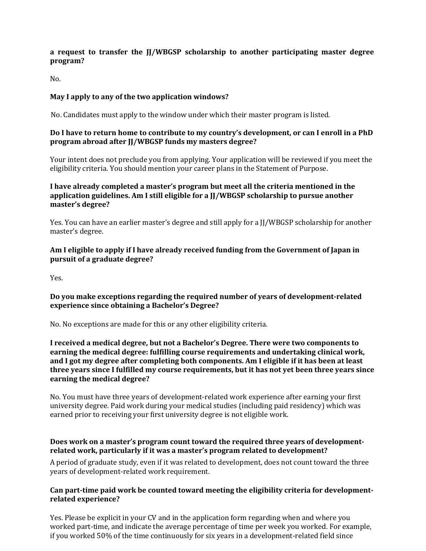# **a request to transfer the JJ/WBGSP scholarship to another participating master degree program?**

No.

#### **May I apply to any of the two application windows?**

No. Candidates must apply to the window under which their master program is listed.

#### **Do I have to return home to contribute to my country's development, or can I enroll in a PhD program abroad after JJ/WBGSP funds my masters degree?**

Your intent does not preclude you from applying. Your application will be reviewed if you meet the eligibility criteria. You should mention your career plans in the Statement of Purpose.

#### **I have already completed a master's program but meet all the criteria mentioned in the application guidelines. Am I still eligible for a JJ/WBGSP scholarship to pursue another master's degree?**

Yes. You can have an earlier master's degree and still apply for a JJ/WBGSP scholarship for another master's degree.

# **Am I eligible to apply if I have already received funding from the Government of Japan in pursuit of a graduate degree?**

Yes.

# **Do you make exceptions regarding the required number of years of development-related experience since obtaining a Bachelor's Degree?**

No. No exceptions are made for this or any other eligibility criteria.

**I received a medical degree, but not a Bachelor's Degree. There were two components to earning the medical degree: fulfilling course requirements and undertaking clinical work, and I got my degree after completing both components. Am I eligible if it has been at least three years since I fulfilled my course requirements, but it has not yet been three years since earning the medical degree?**

No. You must have three years of development-related work experience after earning your first university degree. Paid work during your medical studies (including paid residency) which was earned prior to receiving your first university degree is not eligible work.

# **Does work on a master's program count toward the required three years of developmentrelated work, particularly if it was a master's program related to development?**

A period of graduate study, even if it was related to development, does not count toward the three years of development-related work requirement.

#### **Can part-time paid work be counted toward meeting the eligibility criteria for developmentrelated experience?**

Yes. Please be explicit in your CV and in the application form regarding when and where you worked part-time, and indicate the average percentage of time per week you worked. For example, if you worked 50% of the time continuously for six years in a development-related field since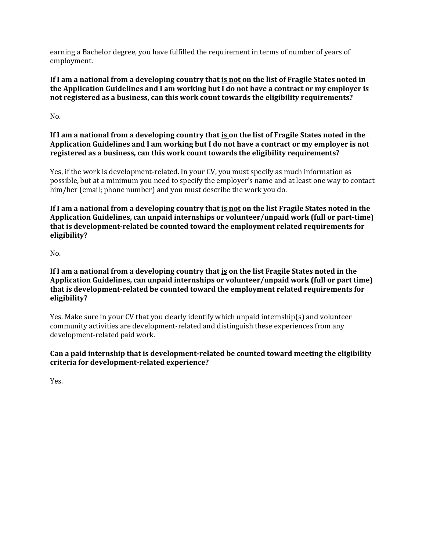earning a Bachelor degree, you have fulfilled the requirement in terms of number of years of employment.

**If I am a national from a developing country that is not on the list of Fragile States noted in the Application Guidelines and I am working but I do not have a contract or my employer is not registered as a business, can this work count towards the eligibility requirements?**

No.

# **If I am a national from a developing country that is on the list of Fragile States noted in the Application Guidelines and I am working but I do not have a contract or my employer is not registered as a business, can this work count towards the eligibility requirements?**

Yes, if the work is development-related. In your CV, you must specify as much information as possible, but at a minimum you need to specify the employer's name and at least one way to contact him/her (email; phone number) and you must describe the work you do.

**If I am a national from a developing country that is not on the list Fragile States noted in the Application Guidelines, can unpaid internships or volunteer/unpaid work (full or part-time) that is development-related be counted toward the employment related requirements for eligibility?**

No.

**If I am a national from a developing country that is on the list Fragile States noted in the Application Guidelines, can unpaid internships or volunteer/unpaid work (full or part time) that is development-related be counted toward the employment related requirements for eligibility?**

Yes. Make sure in your CV that you clearly identify which unpaid internship(s) and volunteer community activities are development-related and distinguish these experiences from any development-related paid work.

# **Can a paid internship that is development-related be counted toward meeting the eligibility criteria for development-related experience?**

Yes.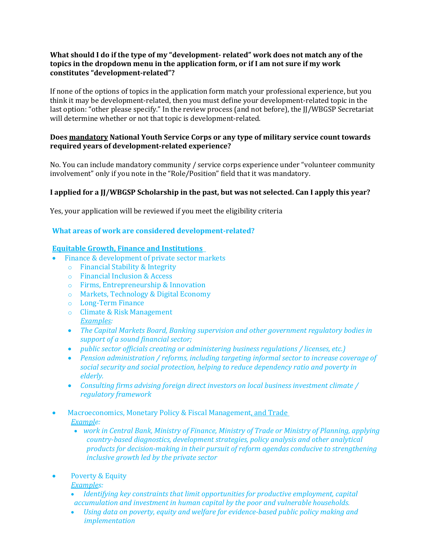#### **What should I do if the type of my "development- related" work does not match any of the topics in the dropdown menu in the application form, or if I am not sure if my work constitutes "development-related"?**

If none of the options of topics in the application form match your professional experience, but you think it may be development-related, then you must define your development-related topic in the last option: "other please specify." In the review process (and not before), the JJ/WBGSP Secretariat will determine whether or not that topic is development-related.

#### **Does mandatory National Youth Service Corps or any type of military service count towards required years of development-related experience?**

No. You can include mandatory community / service corps experience under "volunteer community involvement" only if you note in the "Role/Position" field that it was mandatory.

# **I applied for a JJ/WBGSP Scholarship in the past, but was not selected. Can I apply this year?**

Yes, your application will be reviewed if you meet the eligibility criteria

#### **What areas of work are considered development-related?**

#### **Equitable Growth, Finance and Institutions**

- Finance & development of private sector markets
	- o Financial Stability & Integrity
	- o Financial Inclusion & Access
	- o Firms, Entrepreneurship & Innovation
	- o Markets, Technology & Digital Economy
	- o Long-Term Finance
	- o Climate & Risk Management *Examples:*
	- *The Capital Markets Board, Banking supervision and other government regulatory bodies in support of a sound financial sector;*
	- *public sector officials creating or administering business regulations / licenses, etc.)*
	- *Pension administration / reforms, including targeting informal sector to increase coverage of social security and social protection, helping to reduce dependency ratio and poverty in elderly.*
	- *Consulting firms advising foreign direct investors on local business investment climate / regulatory framework*
- Macroeconomics, Monetary Policy & Fiscal Management, and Trade *Example:* 
	- *work in Central Bank, Ministry of Finance, Ministry of Trade or Ministry of Planning, applying country-based diagnostics, development strategies, policy analysis and other analytical products for decision-making in their pursuit of reform agendas conducive to strengthening inclusive growth led by the private sector*
- Poverty & Equity
	- *Examples:*
	- *Identifying key constraints that limit opportunities for productive employment, capital accumulation and investment in human capital by the poor and vulnerable households.*
	- *Using data on poverty, equity and welfare for evidence-based public policy making and implementation*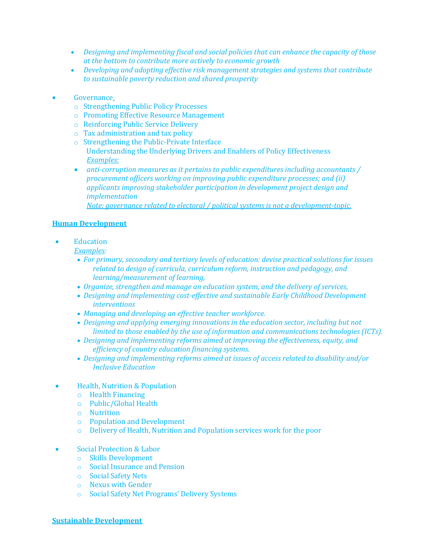- *Designing and implementing fiscal and social policies that can enhance the capacity of those at the bottom to contribute more actively to economic growth*
- *Developing and adopting effective risk management strategies and systems that contribute to sustainable poverty reduction and shared prosperity*
- Governance
	- o [Strengthening Public Policy Processes](https://worldbankgroup.sharepoint.com/sites/Governance/Pages/pc/Foundations-and-Frontiers/Strengthening-Public-Policy-Processes-06012018-161316.aspx)
	- o [Promoting Effective Resource Management](https://worldbankgroup.sharepoint.com/sites/Governance/Pages/pc/Foundations-and-Frontiers/Promoting-Effective-Resource-Management-06012018-161734.aspx)
	- o [Reinforcing Public Service Delivery](https://worldbankgroup.sharepoint.com/sites/Governance/Pages/pc/Foundations-and-Frontiers/Reinforcing-Public-Service-Delivery-06012018-163608.aspx)
	- o Tax administration and tax policy
	- o [Strengthening the Public-Private Interface](https://worldbankgroup.sharepoint.com/sites/Governance/Pages/pc/Foundations-and-Frontiers/Strengthening-the-PublicPrivate-Interface-06012018-164213.aspx) [Understanding the Underlying Drivers and Enablers of Policy Effectiveness](https://worldbankgroup.sharepoint.com/sites/Governance/Pages/pc/Foundations-and-Frontiers/Understanding-the-Underlying-Drivers-and-Enablers-of-Policy-Effectiveness-06012018-164454.aspx) *Examples:*
	- *anti-corruption measures as it pertains to public expenditures including accountants / procurement officers working on improving public expenditure processes; and (ii) applicants improving stakeholder participation in development project design and implementation*

*Note: governance related to electoral / political systems is not a development-topic.*

#### **Human Development**

**Education** 

#### *Examples:*

- *For primary, secondary and tertiary levels of education: devise practical solutions for issues related to design of curricula, curriculum reform, instruction and pedagogy, and learning/measurement of learning,*
- *Organize, strengthen and manage an education system, and the delivery of services,*
- *Designing and implementing cost-effective and sustainable Early Childhood Development interventions*
- *Managing and developing an effective teacher workforce.*
- *Designing and applying emerging innovations in the education sector, including but not limited to those enabled by the use of information and communications technologies (ICTs).*
- *Designing and implementing reforms aimed at improving the effectiveness, equity, and efficiency of country education financing systems.*
- *Designing and implementing reforms aimed at issues of access related to disability and/or Inclusive Education*
- Health, Nutrition & Population
	- o [Health Financing](https://worldbankgroup.sharepoint.com/sites/gsg/Financing/Pages/Home.aspx)
	- o Public/Global [Health](https://worldbankgroup.sharepoint.com/sites/gsg/HealthySocieties/Pages/Home.aspx)
	- o [Nutrition](https://worldbankgroup.sharepoint.com/sites/gsg/Nutrition/Pages/Home.aspx)
	- o [Population and Development](https://worldbankgroup.sharepoint.com/sites/gsg/PopulationDevelopment/Pages/Home.aspx)
	- o [Delivery](https://worldbankgroup.sharepoint.com/sites/gsg/ServiceDelivery/Pages/Home.aspx) of Health, Nutrition and Population services work for the poor
- Social Protection & Labor
	- o Skills Development
	- o Social Insurance and Pension
	- o Social Safety Nets
	- o Nexus with Gender
	- o Social Safety Net Programs' Delivery Systems

#### **Sustainable Development**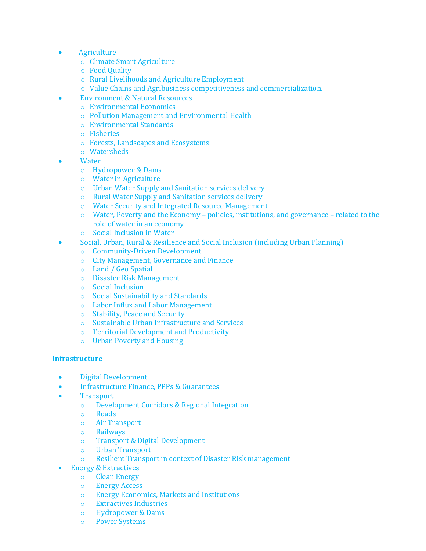- Agriculture
	- o Climate Smart Agriculture
	- o Food Quality
	- o Rural Livelihoods and Agriculture Employment
	- o Value Chains and Agribusiness competitiveness and commercialization.
- Environment & Natural Resources
	- o Environmental Economics
	- o Pollution Management and Environmental Health
	- o Environmental Standards
	- o Fisheries
	- o Forests, Landscapes and Ecosystems
	- o Watersheds
- **Water** 
	- o Hydropower & Dams
	- o Water in Agriculture
	- o Urban Water Supply and Sanitation services delivery
	- o Rural Water Supply and Sanitation services delivery
	- o Water Security and Integrated Resource Management
	- o Water, Poverty and the Economy policies, institutions, and governance related to the role of water in an economy
	- o Social Inclusion in Water
- Social, Urban, Rural & Resilience and Social Inclusion (including Urban Planning)
	- o Community-Driven Development
	- o City Management, Governance and Finance
	- o Land / Geo Spatial
	- o Disaster Risk Management
	- o Social Inclusion
	- o Social Sustainability and Standards
	- o Labor Influx and Labor Management
	- o Stability, Peace and Security
	- o Sustainable Urban Infrastructure and Services
	- o Territorial Development and Productivity
	- o Urban Poverty and Housing

#### **Infrastructure**

- Digital Development
- Infrastructure Finance, PPPs & Guarantees
- Transport<br>
o Develo
	- Development Corridors & Regional Integration
	- o Roads
	- o Air Transport
	- o Railways
	- o Transport & Digital Development
	- o Urban Transport
	- Resilient Transport in context of Disaster Risk management
- Energy & Extractives
	- o Clean Energy
	- o Energy Access
	- o Energy Economics, Markets and Institutions<br>
	o Extractives Industries
	- **Extractives Industries**
	- o Hydropower & Dams
	- o Power Systems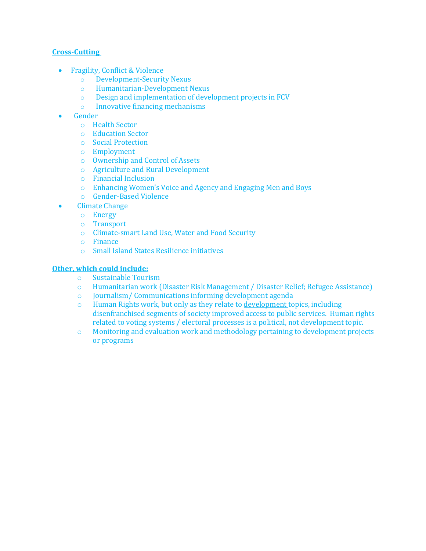#### **Cross-Cutting**

- Fragility, Conflict & Violence<br>
o Development-Securit
	- o Development-Security Nexus
	- Humanitarian-Development Nexus
	- $\circ$  Design and implementation of development projects in FCV  $\circ$  Innovative financing mechanisms
	- Innovative financing mechanisms
- **Gender** 
	- o Health Sector
	- o Education Sector
	- o Social Protection
	- o Employment
	- o Ownership and Control of Assets
	- o Agriculture and Rural Development
	- o Financial Inclusion
	- o Enhancing Women's Voice and Agency and Engaging Men and Boys
	- o Gender-Based Violence
- Climate Change
	- o Energy
	- o Transport
	- o Climate-smart Land Use, Water and Food Security
	- o Finance
	- o Small Island States Resilience initiatives

# **Other, which could include:**

- o Sustainable Tourism
- o Humanitarian work (Disaster Risk Management / Disaster Relief; Refugee Assistance)
- Journalism/Communications informing development agenda
- $\circ$  Human Rights work, but only as they relate to development topics, including disenfranchised segments of society improved access to public services. Human rights related to voting systems / electoral processes is a political, not development topic.
- o Monitoring and evaluation work and methodology pertaining to development projects or programs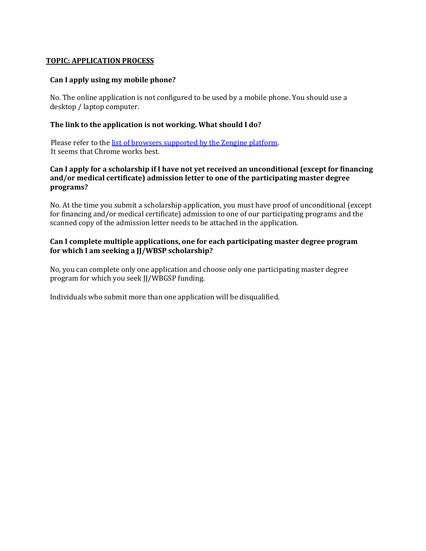#### **TOPIC: APPLICATION PROCESS**

#### **Can I apply using my mobile phone?**

No. The online application is not configured to be used by a mobile phone. You should use a desktop / laptop computer.

#### **The link to the application is not working. What should I do?**

 Please refer to th[e list of browsers supported by the](https://support.zenginehq.com/article/451-what-browsers-are-supported) Zengine platform. It seems that Chrome works best.

#### **Can I apply for a scholarship if I have not yet received an unconditional (except for financing and/or medical certificate) admission letter to one of the participating master degree programs?**

No. At the time you submit a scholarship application, you must have proof of unconditional (except for financing and/or medical certificate) admission to one of our participating programs and the scanned copy of the admission letter needs to be attached in the application.

#### **Can I complete multiple applications, one for each participating master degree program for which I am seeking a JJ/WBSP scholarship?**

No, you can complete only one application and choose only one participating master degree program for which you seek JJ/WBGSP funding.

Individuals who submit more than one application will be disqualified.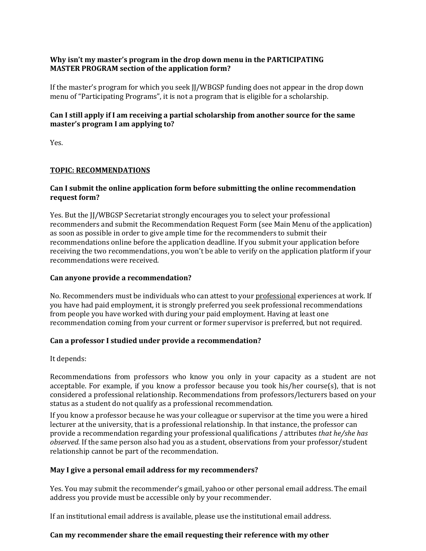#### **Why isn't my master's program in the drop down menu in the PARTICIPATING MASTER PROGRAM section of the application form?**

If the master's program for which you seek JJ/WBGSP funding does not appear in the drop down menu of "Participating Programs", it is not a program that is eligible for a scholarship.

# **Can I still apply if I am receiving a partial scholarship from another source for the same master's program I am applying to?**

Yes.

# **TOPIC: RECOMMENDATIONS**

#### **Can I submit the online application form before submitting the online recommendation request form?**

Yes. But the JJ/WBGSP Secretariat strongly encourages you to select your professional recommenders and submit the Recommendation Request Form (see Main Menu of the application) as soon as possible in order to give ample time for the recommenders to submit their recommendations online before the application deadline. If you submit your application before receiving the two recommendations, you won't be able to verify on the application platform if your recommendations were received.

#### **Can anyone provide a recommendation?**

No. Recommenders must be individuals who can attest to your professional experiences at work. If you have had paid employment, it is strongly preferred you seek professional recommendations from people you have worked with during your paid employment. Having at least one recommendation coming from your current or former supervisor is preferred, but not required.

# **Can a professor I studied under provide a recommendation?**

It depends:

Recommendations from professors who know you only in your capacity as a student are not acceptable. For example, if you know a professor because you took his/her course(s), that is not considered a professional relationship. Recommendations from professors/lecturers based on your status as a student do not qualify as a professional recommendation.

If you know a professor because he was your colleague or supervisor at the time you were a hired lecturer at the university, that is a professional relationship. In that instance, the professor can provide a recommendation regarding your professional qualifications / attributes *that he/she has observed*. If the same person also had you as a student, observations from your professor/student relationship cannot be part of the recommendation.

# **May I give a personal email address for my recommenders?**

Yes. You may submit the recommender's gmail, yahoo or other personal email address. The email address you provide must be accessible only by your recommender.

If an institutional email address is available, please use the institutional email address.

# **Can my recommender share the email requesting their reference with my other**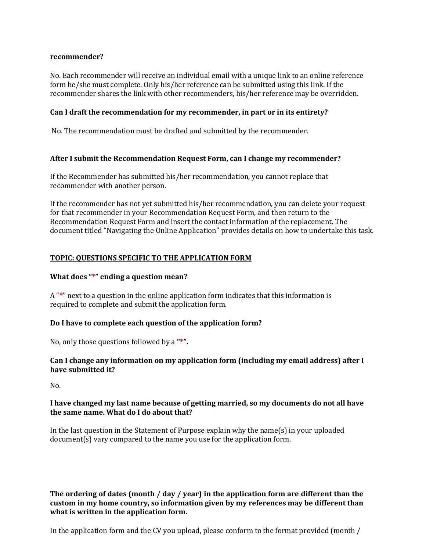#### **recommender?**

No. Each recommender will receive an individual email with a unique link to an online reference form he/she must complete. Only his/her reference can be submitted using this link. If the recommender shares the link with other recommenders, his/her reference may be overridden.

#### **Can I draft the recommendation for my recommender, in part or in its entirety?**

No. The recommendation must be drafted and submitted by the recommender.

#### **After I submit the Recommendation Request Form, can I change my recommender?**

If the Recommender has submitted his/her recommendation, you cannot replace that recommender with another person.

If the recommender has not yet submitted his/her recommendation, you can delete your request for that recommender in your Recommendation Request Form, and then return to the Recommendation Request Form and insert the contact information of the replacement. The document titled "Navigating the Online Application" provides details on how to undertake this task.

#### **TOPIC: QUESTIONS SPECIFIC TO THE APPLICATION FORM**

#### **What does "\*" ending a question mean?**

A "**\***" next to a question in the online application form indicates that this information is required to complete and submit the application form.

#### **Do I have to complete each question of the application form?**

No, only those questions followed by a **"\*".**

#### **Can I change any information on my application form (including my email address) after I have submitted it?**

No.

#### **I have changed my last name because of getting married, so my documents do not all have the same name. What do I do about that?**

In the last question in the Statement of Purpose explain why the name(s) in your uploaded document(s) vary compared to the name you use for the application form.

**The ordering of dates (month / day / year) in the application form are different than the custom in my home country, so information given by my references may be different than what is written in the application form.**

In the application form and the CV you upload, please conform to the format provided (month /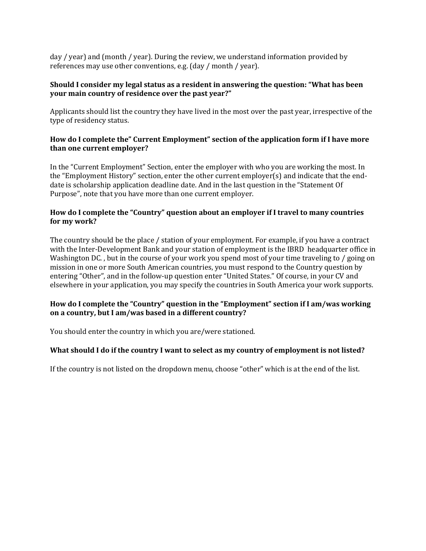day / year) and (month / year). During the review, we understand information provided by references may use other conventions, e.g. (day / month / year).

#### **Should I consider my legal status as a resident in answering the question: "What has been your main country of residence over the past year?"**

Applicants should list the country they have lived in the most over the past year, irrespective of the type of residency status.

#### **How do I complete the" Current Employment" section of the application form if I have more than one current employer?**

In the "Current Employment" Section, enter the employer with who you are working the most. In the "Employment History" section, enter the other current employer(s) and indicate that the enddate is scholarship application deadline date. And in the last question in the "Statement Of Purpose", note that you have more than one current employer.

#### **How do I complete the "Country" question about an employer if I travel to many countries for my work?**

The country should be the place / station of your employment. For example, if you have a contract with the Inter-Development Bank and your station of employment is the IBRD headquarter office in Washington DC., but in the course of your work you spend most of your time traveling to / going on mission in one or more South American countries, you must respond to the Country question by entering "Other", and in the follow-up question enter "United States." Of course, in your CV and elsewhere in your application, you may specify the countries in South America your work supports.

#### **How do I complete the "Country" question in the "Employment" section if I am/was working on a country, but I am/was based in a different country?**

You should enter the country in which you are/were stationed.

#### **What should I do if the country I want to select as my country of employment is not listed?**

If the country is not listed on the dropdown menu, choose "other" which is at the end of the list.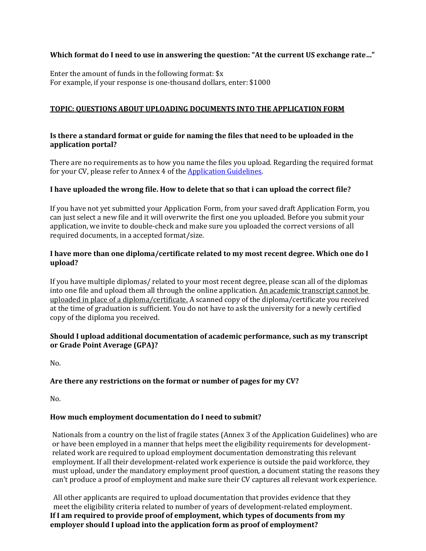# **Which format do I need to use in answering the question: "At the current US exchange rate…"**

Enter the amount of funds in the following format: \$x For example, if your response is one-thousand dollars, enter: \$1000

# **TOPIC: QUESTIONS ABOUT UPLOADING DOCUMENTS INTO THE APPLICATION FORM**

# **Is there a standard format or guide for naming the files that need to be uploaded in the application portal?**

There are no requirements as to how you name the files you upload. Regarding the required format for your CV, please refer to Annex 4 of the [Application Guidelines.](https://thedocs.worldbank.org/en/doc/2f7f8c43c40b0b6eb68a5ea47d28300d-0050022021/original/2022-DevelopingCountryNationalsApplicationGuidelines-Oct2021.pdf)

#### **I have uploaded the wrong file. How to delete that so that i can upload the correct file?**

If you have not yet submitted your Application Form, from your saved draft Application Form, you can just select a new file and it will overwrite the first one you uploaded. Before you submit your application, we invite to double-check and make sure you uploaded the correct versions of all required documents, in a accepted format/size.

#### **I have more than one diploma/certificate related to my most recent degree. Which one do I upload?**

If you have multiple diplomas/ related to your most recent degree, please scan all of the diplomas into one file and upload them all through the online application. An academic transcript cannot be uploaded in place of a diploma/certificate. A scanned copy of the diploma/certificate you received at the time of graduation is sufficient. You do not have to ask the university for a newly certified copy of the diploma you received.

#### **Should I upload additional documentation of academic performance, such as my transcript or Grade Point Average (GPA)?**

No.

# **Are there any restrictions on the format or number of pages for my CV?**

No.

# **How much employment documentation do I need to submit?**

Nationals from a country on the list of fragile states (Annex 3 of the Application Guidelines) who are or have been employed in a manner that helps meet the eligibility requirements for developmentrelated work are required to upload employment documentation demonstrating this relevant employment. If all their development-related work experience is outside the paid workforce, they must upload, under the mandatory employment proof question, a document stating the reasons they can't produce a proof of employment and make sure their CV captures all relevant work experience.

 All other applicants are required to upload documentation that provides evidence that they meet the eligibility criteria related to number of years of development-related employment. **If I am required to provide proof of employment, which types of documents from my employer should I upload into the application form as proof of employment?**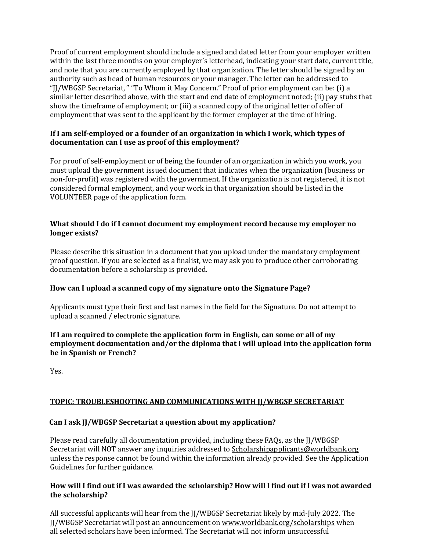Proof of current employment should include a signed and dated letter from your employer written within the last three months on your employer's letterhead, indicating your start date, current title, and note that you are currently employed by that organization. The letter should be signed by an authority such as head of human resources or your manager. The letter can be addressed to "JJ/WBGSP Secretariat, " "To Whom it May Concern." Proof of prior employment can be: (i) a similar letter described above, with the start and end date of employment noted; (ii) pay stubs that show the timeframe of employment; or (iii) a scanned copy of the original letter of offer of employment that was sent to the applicant by the former employer at the time of hiring.

#### **If I am self-employed or a founder of an organization in which I work, which types of documentation can I use as proof of this employment?**

For proof of self-employment or of being the founder of an organization in which you work, you must upload the government issued document that indicates when the organization (business or non-for-profit) was registered with the government. If the organization is not registered, it is not considered formal employment, and your work in that organization should be listed in the VOLUNTEER page of the application form.

#### **What should I do if I cannot document my employment record because my employer no longer exists?**

Please describe this situation in a document that you upload under the mandatory employment proof question. If you are selected as a finalist, we may ask you to produce other corroborating documentation before a scholarship is provided.

# **How can I upload a scanned copy of my signature onto the Signature Page?**

Applicants must type their first and last names in the field for the Signature. Do not attempt to upload a scanned / electronic signature.

**If I am required to complete the application form in English, can some or all of my employment documentation and/or the diploma that I will upload into the application form be in Spanish or French?**

Yes.

# **TOPIC: TROUBLESHOOTING AND COMMUNICATIONS WITH JJ/WBGSP SECRETARIAT**

#### **Can I ask JJ/WBGSP Secretariat a question about my application?**

Please read carefully all documentation provided, including these FAQs, as the JJ/WBGSP Secretariat will NOT answer any inquiries addressed to [Scholarshipapplicants@worldbank.org](mailto:Scholarshipapplicants@worldbank.org) unless the response cannot be found within the information already provided. See the Application Guidelines for further guidance.

#### **How will I find out if I was awarded the scholarship? How will I find out if I was not awarded the scholarship?**

All successful applicants will hear from the JJ/WBGSP Secretariat likely by mid-July 2022. The JJ/WBGSP Secretariat will post an announcement o[n www.worldbank.org/scholarships](http://www.worldbank.org/scholarships) when all selected scholars have been informed. The Secretariat will not inform unsuccessful